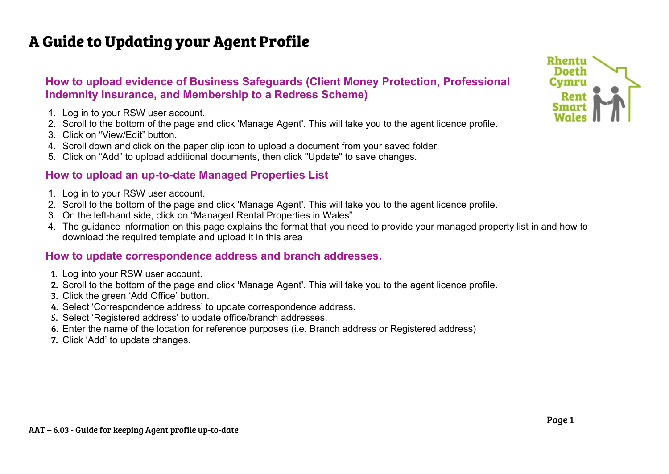# **A Guide to Updating your Agent Profile**

## **How to upload evidence of Business Safeguards (Client Money Protection, Professional Indemnity Insurance, and Membership to a Redress Scheme)**

- 1. Log in to your RSW user account.
- 2. Scroll to the bottom of the page and click 'Manage Agent'. This will take you to the agent licence profile.
- 3. Click on "View/Edit" button.
- 4. Scroll down and click on the paper clip icon to upload a document from your saved folder.
- 5. Click on "Add" to upload additional documents, then click "Update" to save changes.

## **How to upload an up-to-date Managed Properties List**

- 1. Log in to your RSW user account.
- 2. Scroll to the bottom of the page and click 'Manage Agent'. This will take you to the agent licence profile.
- 3. On the left-hand side, click on "Managed Rental Properties in Wales"
- 4. The guidance information on this page explains the format that you need to provide your managed property list in and how to download the required template and upload it in this area

### **How to update correspondence address and branch addresses.**

- 1. Log into your RSW user account.
- 2. Scroll to the bottom of the page and click 'Manage Agent'. This will take you to the agent licence profile.
- 3. Click the green 'Add Office' button.
- 4. Select 'Correspondence address' to update correspondence address.
- 5. Select 'Registered address' to update office/branch addresses.
- 6. Enter the name of the location for reference purposes (i.e. Branch address or Registered address)
- 7. Click 'Add' to update changes.

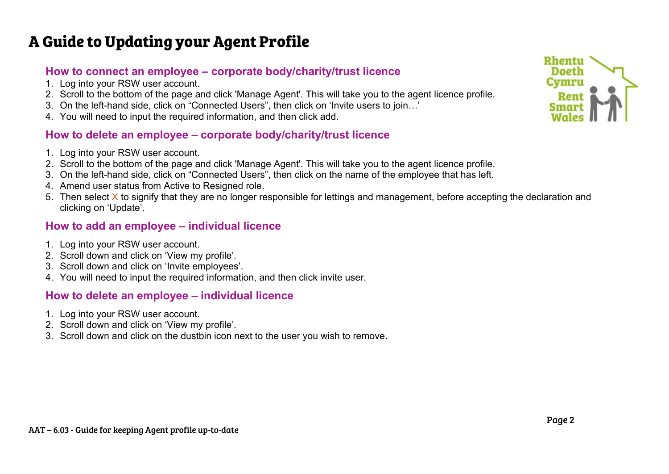# **A Guide to Updating your Agent Profile**

### **How to connect an employee – corporate body/charity/trust licence**

- 1. Log into your RSW user account.
- 2. Scroll to the bottom of the page and click 'Manage Agent'. This will take you to the agent licence profile.
- 3. On the left-hand side, click on "Connected Users", then click on 'Invite users to join…'
- 4. You will need to input the required information, and then click add.

## **How to delete an employee – corporate body/charity/trust licence**

- 1. Log into your RSW user account.
- 2. Scroll to the bottom of the page and click 'Manage Agent'. This will take you to the agent licence profile.
- 3. On the left-hand side, click on "Connected Users", then click on the name of the employee that has left.
- 4. Amend user status from Active to Resigned role.
- 5. Then select X to signify that they are no longer responsible for lettings and management, before accepting the declaration and clicking on 'Update'.

### **How to add an employee – individual licence**

- 1. Log into your RSW user account.
- 2. Scroll down and click on 'View my profile'.
- 3. Scroll down and click on 'Invite employees'.
- 4. You will need to input the required information, and then click invite user.

#### **How to delete an employee – individual licence**

- 1. Log into your RSW user account.
- 2. Scroll down and click on 'View my profile'.
- 3. Scroll down and click on the dustbin icon next to the user you wish to remove.